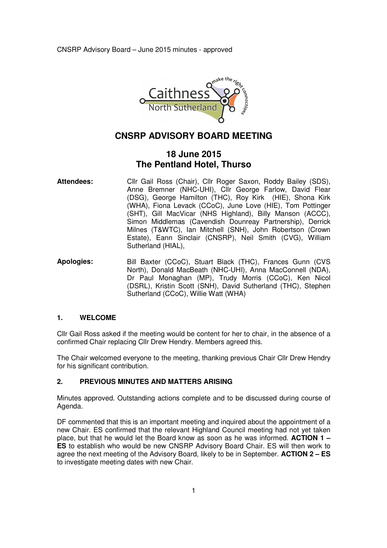

# **CNSRP ADVISORY BOARD MEETING**

# **18 June 2015 The Pentland Hotel, Thurso**

- Attendees: Cllr Gail Ross (Chair), Cllr Roger Saxon, Roddy Bailey (SDS), Anne Bremner (NHC-UHI), Cllr George Farlow, David Flear (DSG), George Hamilton (THC), Roy Kirk (HIE), Shona Kirk (WHA), Fiona Levack (CCoC), June Love (HIE), Tom Pottinger (SHT), Gill MacVicar (NHS Highland), Billy Manson (ACCC), Simon Middlemas (Cavendish Dounreay Partnership), Derrick Milnes (T&WTC), Ian Mitchell (SNH), John Robertson (Crown Estate), Eann Sinclair (CNSRP), Neil Smith (CVG), William Sutherland (HIAL),
- **Apologies:** Bill Baxter (CCoC), Stuart Black (THC), Frances Gunn (CVS North), Donald MacBeath (NHC-UHI), Anna MacConnell (NDA), Dr Paul Monaghan (MP), Trudy Morris (CCoC), Ken Nicol (DSRL), Kristin Scott (SNH), David Sutherland (THC), Stephen Sutherland (CCoC), Willie Watt (WHA)

## **1. WELCOME**

Cllr Gail Ross asked if the meeting would be content for her to chair, in the absence of a confirmed Chair replacing Cllr Drew Hendry. Members agreed this.

The Chair welcomed everyone to the meeting, thanking previous Chair Cllr Drew Hendry for his significant contribution.

## **2. PREVIOUS MINUTES AND MATTERS ARISING**

Minutes approved. Outstanding actions complete and to be discussed during course of Agenda.

DF commented that this is an important meeting and inquired about the appointment of a new Chair. ES confirmed that the relevant Highland Council meeting had not yet taken place, but that he would let the Board know as soon as he was informed. **ACTION 1 – ES** to establish who would be new CNSRP Advisory Board Chair. ES will then work to agree the next meeting of the Advisory Board, likely to be in September. **ACTION 2 – ES** to investigate meeting dates with new Chair.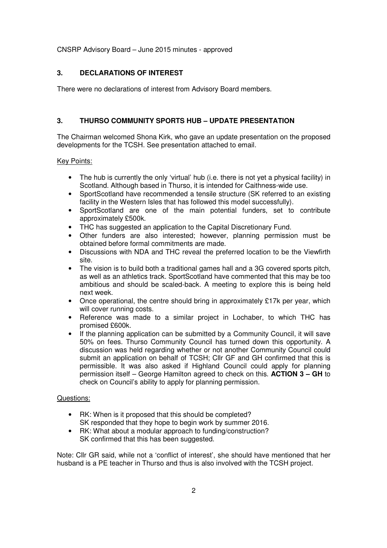## **3. DECLARATIONS OF INTEREST**

There were no declarations of interest from Advisory Board members.

## **3. THURSO COMMUNITY SPORTS HUB – UPDATE PRESENTATION**

The Chairman welcomed Shona Kirk, who gave an update presentation on the proposed developments for the TCSH. See presentation attached to email.

## Key Points:

- The hub is currently the only 'virtual' hub (i.e. there is not yet a physical facility) in Scotland. Although based in Thurso, it is intended for Caithness-wide use.
- SportScotland have recommended a tensile structure (SK referred to an existing facility in the Western Isles that has followed this model successfully).
- SportScotland are one of the main potential funders, set to contribute approximately £500k.
- THC has suggested an application to the Capital Discretionary Fund.
- Other funders are also interested; however, planning permission must be obtained before formal commitments are made.
- Discussions with NDA and THC reveal the preferred location to be the Viewfirth site.
- The vision is to build both a traditional games hall and a 3G covered sports pitch, as well as an athletics track. SportScotland have commented that this may be too ambitious and should be scaled-back. A meeting to explore this is being held next week.
- Once operational, the centre should bring in approximately £17k per year, which will cover running costs.
- Reference was made to a similar project in Lochaber, to which THC has promised £600k.
- If the planning application can be submitted by a Community Council, it will save 50% on fees. Thurso Community Council has turned down this opportunity. A discussion was held regarding whether or not another Community Council could submit an application on behalf of TCSH; Cllr GF and GH confirmed that this is permissible. It was also asked if Highland Council could apply for planning permission itself – George Hamilton agreed to check on this. **ACTION 3 – GH** to check on Council's ability to apply for planning permission.

## Questions:

- RK: When is it proposed that this should be completed? SK responded that they hope to begin work by summer 2016.
- RK: What about a modular approach to funding/construction? SK confirmed that this has been suggested.

Note: Cllr GR said, while not a 'conflict of interest', she should have mentioned that her husband is a PE teacher in Thurso and thus is also involved with the TCSH project.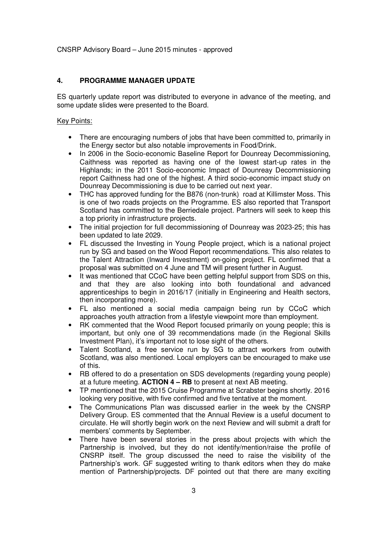#### **4. PROGRAMME MANAGER UPDATE**

ES quarterly update report was distributed to everyone in advance of the meeting, and some update slides were presented to the Board.

### Key Points:

- There are encouraging numbers of jobs that have been committed to, primarily in the Energy sector but also notable improvements in Food/Drink.
- In 2006 in the Socio-economic Baseline Report for Dounreay Decommissioning. Caithness was reported as having one of the lowest start-up rates in the Highlands; in the 2011 Socio-economic Impact of Dounreay Decommissioning report Caithness had one of the highest. A third socio-economic impact study on Dounreay Decommissioning is due to be carried out next year.
- THC has approved funding for the B876 (non-trunk) road at Killimster Moss. This is one of two roads projects on the Programme. ES also reported that Transport Scotland has committed to the Berriedale project. Partners will seek to keep this a top priority in infrastructure projects.
- The initial projection for full decommissioning of Dounreay was 2023-25; this has been updated to late 2029.
- FL discussed the Investing in Young People project, which is a national project run by SG and based on the Wood Report recommendations. This also relates to the Talent Attraction (Inward Investment) on-going project. FL confirmed that a proposal was submitted on 4 June and TM will present further in August.
- It was mentioned that CCoC have been getting helpful support from SDS on this, and that they are also looking into both foundational and advanced apprenticeships to begin in 2016/17 (initially in Engineering and Health sectors, then incorporating more).
- FL also mentioned a social media campaign being run by CCoC which approaches youth attraction from a lifestyle viewpoint more than employment.
- RK commented that the Wood Report focused primarily on young people; this is important, but only one of 39 recommendations made (in the Regional Skills Investment Plan), it's important not to lose sight of the others.
- Talent Scotland, a free service run by SG to attract workers from outwith Scotland, was also mentioned. Local employers can be encouraged to make use of this.
- RB offered to do a presentation on SDS developments (regarding young people) at a future meeting. **ACTION 4 – RB** to present at next AB meeting.
- TP mentioned that the 2015 Cruise Programme at Scrabster begins shortly. 2016 looking very positive, with five confirmed and five tentative at the moment.
- The Communications Plan was discussed earlier in the week by the CNSRP Delivery Group. ES commented that the Annual Review is a useful document to circulate. He will shortly begin work on the next Review and will submit a draft for members' comments by September.
- There have been several stories in the press about projects with which the Partnership is involved, but they do not identify/mention/raise the profile of CNSRP itself. The group discussed the need to raise the visibility of the Partnership's work. GF suggested writing to thank editors when they do make mention of Partnership/projects. DF pointed out that there are many exciting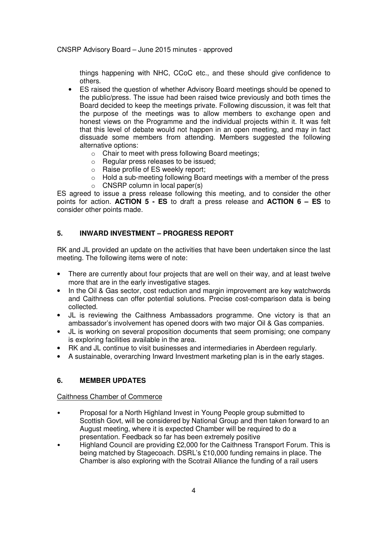things happening with NHC, CCoC etc., and these should give confidence to others.

- ES raised the question of whether Advisory Board meetings should be opened to the public/press. The issue had been raised twice previously and both times the Board decided to keep the meetings private. Following discussion, it was felt that the purpose of the meetings was to allow members to exchange open and honest views on the Programme and the individual projects within it. It was felt that this level of debate would not happen in an open meeting, and may in fact dissuade some members from attending. Members suggested the following alternative options:
	- o Chair to meet with press following Board meetings;
	- o Regular press releases to be issued;
	- o Raise profile of ES weekly report;
	- o Hold a sub-meeting following Board meetings with a member of the press
	- $\circ$  CNSRP column in local paper(s)

ES agreed to issue a press release following this meeting, and to consider the other points for action. **ACTION 5 - ES** to draft a press release and **ACTION 6 – ES** to consider other points made.

## **5. INWARD INVESTMENT – PROGRESS REPORT**

RK and JL provided an update on the activities that have been undertaken since the last meeting. The following items were of note:

- There are currently about four projects that are well on their way, and at least twelve more that are in the early investigative stages.
- In the Oil & Gas sector, cost reduction and margin improvement are key watchwords and Caithness can offer potential solutions. Precise cost-comparison data is being collected.
- JL is reviewing the Caithness Ambassadors programme. One victory is that an ambassador's involvement has opened doors with two major Oil & Gas companies.
- JL is working on several proposition documents that seem promising; one company is exploring facilities available in the area.
- RK and JL continue to visit businesses and intermediaries in Aberdeen regularly.
- A sustainable, overarching Inward Investment marketing plan is in the early stages.

## **6. MEMBER UPDATES**

#### Caithness Chamber of Commerce

- Proposal for a North Highland Invest in Young People group submitted to Scottish Govt, will be considered by National Group and then taken forward to an August meeting, where it is expected Chamber will be required to do a presentation. Feedback so far has been extremely positive
- Highland Council are providing £2,000 for the Caithness Transport Forum. This is being matched by Stagecoach. DSRL's £10,000 funding remains in place. The Chamber is also exploring with the Scotrail Alliance the funding of a rail users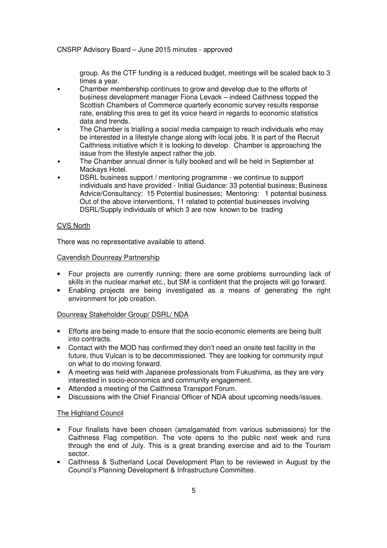group. As the CTF funding is a reduced budget, meetings will be scaled back to 3 times a year.

- Chamber membership continues to grow and develop due to the efforts of business development manager Fiona Levack – indeed Caithness topped the Scottish Chambers of Commerce quarterly economic survey results response rate, enabling this area to get its voice heard in regards to economic statistics data and trends.
- The Chamber is trialling a social media campaign to reach individuals who may be interested in a lifestyle change along with local jobs. It is part of the Recruit Caithness initiative which it is looking to develop. Chamber is approaching the issue from the lifestyle aspect rather the job.
- The Chamber annual dinner is fully booked and will be held in September at Mackays Hotel.
- DSRL business support / mentoring programme we continue to support individuals and have provided - Initial Guidance: 33 potential business; Business Advice/Consultancy: 15 Potential businesses; Mentoring: 1 potential business Out of the above interventions, 11 related to potential businesses involving DSRL/Supply individuals of which 3 are now known to be trading

### CVS North

There was no representative available to attend.

### Cavendish Dounreay Partnership

- Four projects are currently running; there are some problems surrounding lack of skills in the nuclear market etc., but SM is confident that the projects will go forward.
- Enabling projects are being investigated as a means of generating the right environment for job creation.

### Dounreay Stakeholder Group/ DSRL/ NDA

- Efforts are being made to ensure that the socio-economic elements are being built into contracts.
- Contact with the MOD has confirmed they don't need an onsite test facility in the future, thus Vulcan is to be decommissioned. They are looking for community input on what to do moving forward.
- A meeting was held with Japanese professionals from Fukushima, as they are very interested in socio-economics and community engagement.
- Attended a meeting of the Caithness Transport Forum.
- Discussions with the Chief Financial Officer of NDA about upcoming needs/issues.

### The Highland Council

- Four finalists have been chosen (amalgamated from various submissions) for the Caithness Flag competition. The vote opens to the public next week and runs through the end of July. This is a great branding exercise and aid to the Tourism sector.
- Caithness & Sutherland Local Development Plan to be reviewed in August by the Council's Planning Development & Infrastructure Committee.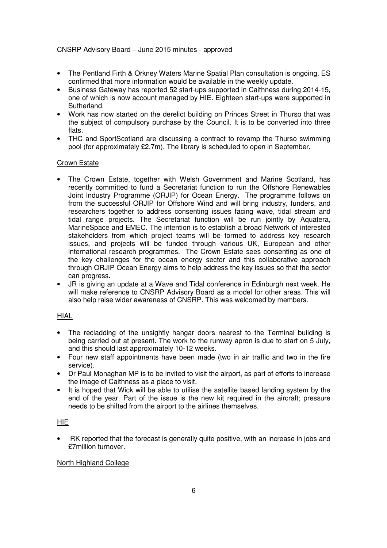- The Pentland Firth & Orkney Waters Marine Spatial Plan consultation is ongoing. ES confirmed that more information would be available in the weekly update.
- Business Gateway has reported 52 start-ups supported in Caithness during 2014-15, one of which is now account managed by HIE. Eighteen start-ups were supported in Sutherland.
- Work has now started on the derelict building on Princes Street in Thurso that was the subject of compulsory purchase by the Council. It is to be converted into three flats.
- THC and SportScotland are discussing a contract to revamp the Thurso swimming pool (for approximately £2.7m). The library is scheduled to open in September.

## Crown Estate

- The Crown Estate, together with Welsh Government and Marine Scotland, has recently committed to fund a Secretariat function to run the Offshore Renewables Joint Industry Programme (ORJIP) for Ocean Energy. The programme follows on from the successful ORJIP for Offshore Wind and will bring industry, funders, and researchers together to address consenting issues facing wave, tidal stream and tidal range projects. The Secretariat function will be run jointly by Aquatera, MarineSpace and EMEC. The intention is to establish a broad Network of interested stakeholders from which project teams will be formed to address key research issues, and projects will be funded through various UK, European and other international research programmes. The Crown Estate sees consenting as one of the key challenges for the ocean energy sector and this collaborative approach through ORJIP Ocean Energy aims to help address the key issues so that the sector can progress.
- JR is giving an update at a Wave and Tidal conference in Edinburgh next week. He will make reference to CNSRP Advisory Board as a model for other areas. This will also help raise wider awareness of CNSRP. This was welcomed by members.

## HIAL

- The recladding of the unsightly hangar doors nearest to the Terminal building is being carried out at present. The work to the runway apron is due to start on 5 July, and this should last approximately 10-12 weeks.
- Four new staff appointments have been made (two in air traffic and two in the fire service).
- Dr Paul Monaghan MP is to be invited to visit the airport, as part of efforts to increase the image of Caithness as a place to visit.
- It is hoped that Wick will be able to utilise the satellite based landing system by the end of the year. Part of the issue is the new kit required in the aircraft; pressure needs to be shifted from the airport to the airlines themselves.

## HIE

• RK reported that the forecast is generally quite positive, with an increase in jobs and £7million turnover.

### North Highland College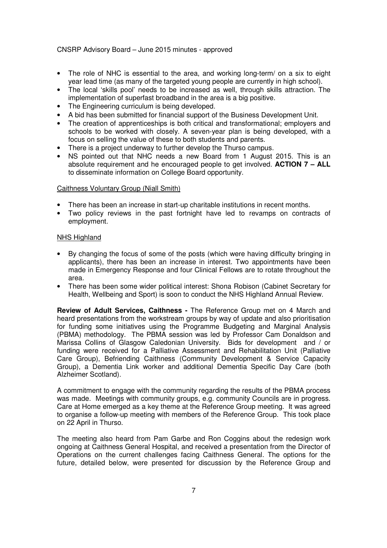- The role of NHC is essential to the area, and working long-term/ on a six to eight year lead time (as many of the targeted young people are currently in high school).
- The local 'skills pool' needs to be increased as well, through skills attraction. The implementation of superfast broadband in the area is a big positive.
- The Engineering curriculum is being developed.
- A bid has been submitted for financial support of the Business Development Unit.
- The creation of apprenticeships is both critical and transformational; employers and schools to be worked with closely. A seven-year plan is being developed, with a focus on selling the value of these to both students and parents.
- There is a project underway to further develop the Thurso campus.
- NS pointed out that NHC needs a new Board from 1 August 2015. This is an absolute requirement and he encouraged people to get involved. **ACTION 7 – ALL** to disseminate information on College Board opportunity.

#### Caithness Voluntary Group (Niall Smith)

- There has been an increase in start-up charitable institutions in recent months.
- Two policy reviews in the past fortnight have led to revamps on contracts of employment.

#### NHS Highland

- By changing the focus of some of the posts (which were having difficulty bringing in applicants), there has been an increase in interest. Two appointments have been made in Emergency Response and four Clinical Fellows are to rotate throughout the area.
- There has been some wider political interest: Shona Robison (Cabinet Secretary for Health, Wellbeing and Sport) is soon to conduct the NHS Highland Annual Review.

**Review of Adult Services, Caithness -** The Reference Group met on 4 March and heard presentations from the workstream groups by way of update and also prioritisation for funding some initiatives using the Programme Budgeting and Marginal Analysis (PBMA) methodology. The PBMA session was led by Professor Cam Donaldson and Marissa Collins of Glasgow Caledonian University. Bids for development and / or funding were received for a Palliative Assessment and Rehabilitation Unit (Palliative Care Group), Befriending Caithness (Community Development & Service Capacity Group), a Dementia Link worker and additional Dementia Specific Day Care (both Alzheimer Scotland).

A commitment to engage with the community regarding the results of the PBMA process was made. Meetings with community groups, e.g. community Councils are in progress. Care at Home emerged as a key theme at the Reference Group meeting. It was agreed to organise a follow-up meeting with members of the Reference Group. This took place on 22 April in Thurso.

The meeting also heard from Pam Garbe and Ron Coggins about the redesign work ongoing at Caithness General Hospital, and received a presentation from the Director of Operations on the current challenges facing Caithness General. The options for the future, detailed below, were presented for discussion by the Reference Group and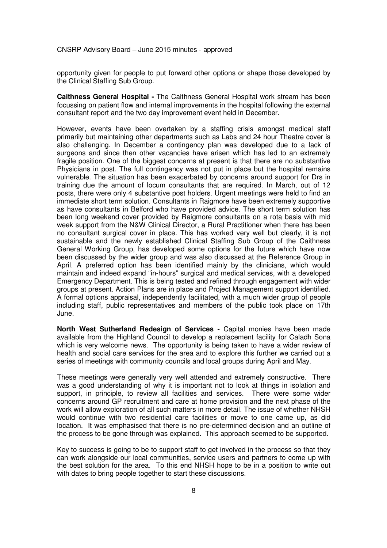opportunity given for people to put forward other options or shape those developed by the Clinical Staffing Sub Group.

**Caithness General Hospital -** The Caithness General Hospital work stream has been focussing on patient flow and internal improvements in the hospital following the external consultant report and the two day improvement event held in December.

However, events have been overtaken by a staffing crisis amongst medical staff primarily but maintaining other departments such as Labs and 24 hour Theatre cover is also challenging. In December a contingency plan was developed due to a lack of surgeons and since then other vacancies have arisen which has led to an extremely fragile position. One of the biggest concerns at present is that there are no substantive Physicians in post. The full contingency was not put in place but the hospital remains vulnerable. The situation has been exacerbated by concerns around support for Drs in training due the amount of locum consultants that are required. In March, out of 12 posts, there were only 4 substantive post holders. Urgent meetings were held to find an immediate short term solution. Consultants in Raigmore have been extremely supportive as have consultants in Belford who have provided advice. The short term solution has been long weekend cover provided by Raigmore consultants on a rota basis with mid week support from the N&W Clinical Director, a Rural Practitioner when there has been no consultant surgical cover in place. This has worked very well but clearly, it is not sustainable and the newly established Clinical Staffing Sub Group of the Caithness General Working Group, has developed some options for the future which have now been discussed by the wider group and was also discussed at the Reference Group in April. A preferred option has been identified mainly by the clinicians, which would maintain and indeed expand "in-hours" surgical and medical services, with a developed Emergency Department. This is being tested and refined through engagement with wider groups at present. Action Plans are in place and Project Management support identified. A formal options appraisal, independently facilitated, with a much wider group of people including staff, public representatives and members of the public took place on 17th June.

**North West Sutherland Redesign of Services -** Capital monies have been made available from the Highland Council to develop a replacement facility for Caladh Sona which is very welcome news. The opportunity is being taken to have a wider review of health and social care services for the area and to explore this further we carried out a series of meetings with community councils and local groups during April and May.

These meetings were generally very well attended and extremely constructive. There was a good understanding of why it is important not to look at things in isolation and support, in principle, to review all facilities and services. There were some wider concerns around GP recruitment and care at home provision and the next phase of the work will allow exploration of all such matters in more detail. The issue of whether NHSH would continue with two residential care facilities or move to one came up, as did location. It was emphasised that there is no pre-determined decision and an outline of the process to be gone through was explained. This approach seemed to be supported.

Key to success is going to be to support staff to get involved in the process so that they can work alongside our local communities, service users and partners to come up with the best solution for the area. To this end NHSH hope to be in a position to write out with dates to bring people together to start these discussions.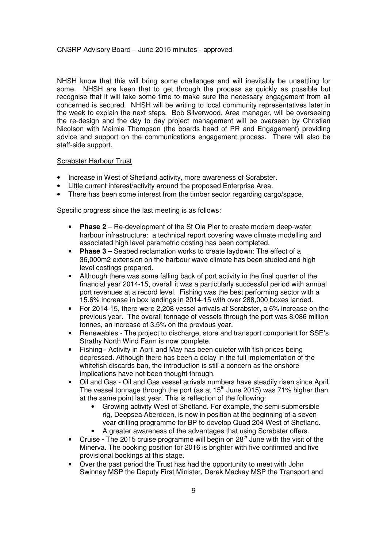NHSH know that this will bring some challenges and will inevitably be unsettling for some. NHSH are keen that to get through the process as quickly as possible but recognise that it will take some time to make sure the necessary engagement from all concerned is secured. NHSH will be writing to local community representatives later in the week to explain the next steps. Bob Silverwood, Area manager, will be overseeing the re-design and the day to day project management will be overseen by Christian Nicolson with Maimie Thompson (the boards head of PR and Engagement) providing advice and support on the communications engagement process. There will also be staff-side support.

#### Scrabster Harbour Trust

- Increase in West of Shetland activity, more awareness of Scrabster.
- Little current interest/activity around the proposed Enterprise Area.
- There has been some interest from the timber sector regarding cargo/space.

Specific progress since the last meeting is as follows:

- **Phase 2** Re-development of the St Ola Pier to create modern deep-water harbour infrastructure: a technical report covering wave climate modelling and associated high level parametric costing has been completed.
- **Phase 3** Seabed reclamation works to create laydown: The effect of a 36,000m2 extension on the harbour wave climate has been studied and high level costings prepared.
- Although there was some falling back of port activity in the final quarter of the financial year 2014-15, overall it was a particularly successful period with annual port revenues at a record level. Fishing was the best performing sector with a 15.6% increase in box landings in 2014-15 with over 288,000 boxes landed.
- For 2014-15, there were 2,208 vessel arrivals at Scrabster, a 6% increase on the previous year. The overall tonnage of vessels through the port was 8.086 million tonnes, an increase of 3.5% on the previous year.
- Renewables The project to discharge, store and transport component for SSE's Strathy North Wind Farm is now complete.
- Fishing Activity in April and May has been quieter with fish prices being depressed. Although there has been a delay in the full implementation of the whitefish discards ban, the introduction is still a concern as the onshore implications have not been thought through.
- Oil and Gas Oil and Gas vessel arrivals numbers have steadily risen since April. The vessel tonnage through the port (as at  $15<sup>th</sup>$  June 2015) was 71% higher than at the same point last year. This is reflection of the following:
	- Growing activity West of Shetland. For example, the semi-submersible rig, Deepsea Aberdeen, is now in position at the beginning of a seven year drilling programme for BP to develop Quad 204 West of Shetland.
	- A greater awareness of the advantages that using Scrabster offers.
- Cruise The 2015 cruise programme will begin on 28<sup>th</sup> June with the visit of the Minerva. The booking position for 2016 is brighter with five confirmed and five provisional bookings at this stage.
- Over the past period the Trust has had the opportunity to meet with John Swinney MSP the Deputy First Minister, Derek Mackay MSP the Transport and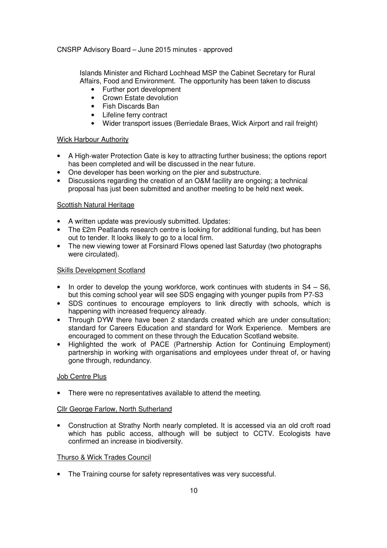Islands Minister and Richard Lochhead MSP the Cabinet Secretary for Rural Affairs, Food and Environment. The opportunity has been taken to discuss

- Further port development
- Crown Estate devolution
- Fish Discards Ban
- Lifeline ferry contract
- Wider transport issues (Berriedale Braes, Wick Airport and rail freight)

## Wick Harbour Authority

- A High-water Protection Gate is key to attracting further business; the options report has been completed and will be discussed in the near future.
- One developer has been working on the pier and substructure.
- Discussions regarding the creation of an O&M facility are ongoing; a technical proposal has just been submitted and another meeting to be held next week.

## Scottish Natural Heritage

- A written update was previously submitted. Updates:
- The £2m Peatlands research centre is looking for additional funding, but has been out to tender. It looks likely to go to a local firm.
- The new viewing tower at Forsinard Flows opened last Saturday (two photographs) were circulated).

### Skills Development Scotland

- In order to develop the young workforce, work continues with students in  $S4 S6$ , but this coming school year will see SDS engaging with younger pupils from P7-S3
- SDS continues to encourage employers to link directly with schools, which is happening with increased frequency already.
- Through DYW there have been 2 standards created which are under consultation: standard for Careers Education and standard for Work Experience. Members are encouraged to comment on these through the Education Scotland website.
- Highlighted the work of PACE (Partnership Action for Continuing Employment) partnership in working with organisations and employees under threat of, or having gone through, redundancy.

## Job Centre Plus

• There were no representatives available to attend the meeting.

### Cllr George Farlow, North Sutherland

• Construction at Strathy North nearly completed. It is accessed via an old croft road which has public access, although will be subject to CCTV. Ecologists have confirmed an increase in biodiversity.

### Thurso & Wick Trades Council

• The Training course for safety representatives was very successful.